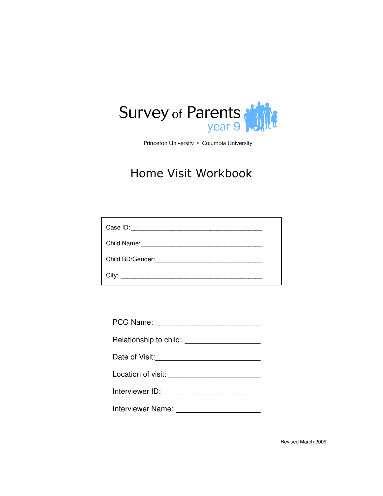

Princeton University • Columbia University

# Home Visit Workbook

| Interviewer Name: <u>_______________</u> |
|------------------------------------------|

Revised March 2009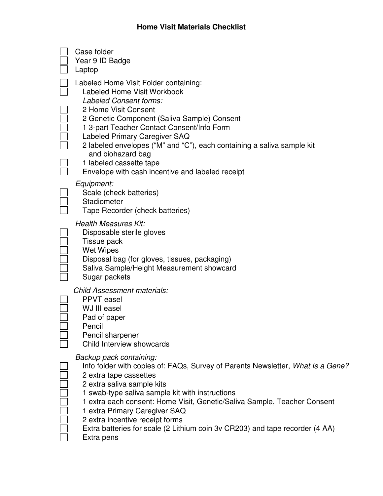### **Home Visit Materials Checklist**

| Case folder<br>Year 9 ID Badge<br>Laptop                                                                                                                                                                                                                                                                                                                                                                                                                            |
|---------------------------------------------------------------------------------------------------------------------------------------------------------------------------------------------------------------------------------------------------------------------------------------------------------------------------------------------------------------------------------------------------------------------------------------------------------------------|
| Labeled Home Visit Folder containing:<br>Labeled Home Visit Workbook<br>Labeled Consent forms:<br>2 Home Visit Consent<br>2 Genetic Component (Saliva Sample) Consent<br>1 3-part Teacher Contact Consent/Info Form<br>Labeled Primary Caregiver SAQ<br>2 labeled envelopes ("M" and "C"), each containing a saliva sample kit<br>and biohazard bag<br>1 labeled cassette tape<br>Envelope with cash incentive and labeled receipt                                  |
| Equipment:<br>Scale (check batteries)<br>Stadiometer<br>Tape Recorder (check batteries)                                                                                                                                                                                                                                                                                                                                                                             |
| <b>Health Measures Kit:</b><br>Disposable sterile gloves<br>Tissue pack<br><b>Wet Wipes</b><br>Disposal bag (for gloves, tissues, packaging)<br>Saliva Sample/Height Measurement showcard<br>Sugar packets                                                                                                                                                                                                                                                          |
| Child Assessment materials:<br><b>PPVT</b> easel<br>WJ III easel<br>Pad of paper<br>Pencil<br>Pencil sharpener<br>Child Interview showcards                                                                                                                                                                                                                                                                                                                         |
| Backup pack containing:<br>Info folder with copies of: FAQs, Survey of Parents Newsletter, What Is a Gene?<br>2 extra tape cassettes<br>2 extra saliva sample kits<br>1 swab-type saliva sample kit with instructions<br>1 extra each consent: Home Visit, Genetic/Saliva Sample, Teacher Consent<br>1 extra Primary Caregiver SAQ<br>2 extra incentive receipt forms<br>Extra batteries for scale (2 Lithium coin 3v CR203) and tape recorder (4 AA)<br>Extra pens |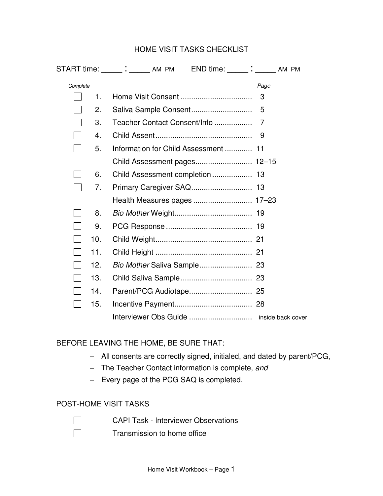### HOME VISIT TASKS CHECKLIST

|          |     | START time: _______: ______ AM_PM | END time: : : : AM PM               |      |  |
|----------|-----|-----------------------------------|-------------------------------------|------|--|
| Complete |     |                                   |                                     | Page |  |
|          | 1.  |                                   |                                     | 3    |  |
|          | 2.  |                                   | Saliva Sample Consent               | 5    |  |
|          | 3.  |                                   | Teacher Contact Consent/Info        | 7    |  |
|          | 4.  |                                   |                                     | 9    |  |
|          | 5.  |                                   | Information for Child Assessment 11 |      |  |
|          |     |                                   |                                     |      |  |
|          | 6.  |                                   |                                     |      |  |
|          | 7.  |                                   | Primary Caregiver SAQ 13            |      |  |
|          |     |                                   |                                     |      |  |
|          | 8.  |                                   |                                     |      |  |
|          | 9.  |                                   |                                     |      |  |
|          | 10. |                                   |                                     |      |  |
|          | 11. |                                   |                                     |      |  |
|          | 12. |                                   |                                     |      |  |
|          | 13. |                                   |                                     |      |  |
|          | 14. |                                   |                                     |      |  |
|          | 15. |                                   |                                     |      |  |
|          |     |                                   |                                     |      |  |

### BEFORE LEAVING THE HOME, BE SURE THAT:

- − All consents are correctly signed, initialed, and dated by parent/PCG,
- − The Teacher Contact information is complete, and
- − Every page of the PCG SAQ is completed.

#### POST-HOME VISIT TASKS

- 
- □ CAPI Task Interviewer Observations
- $\Box$  Transmission to home office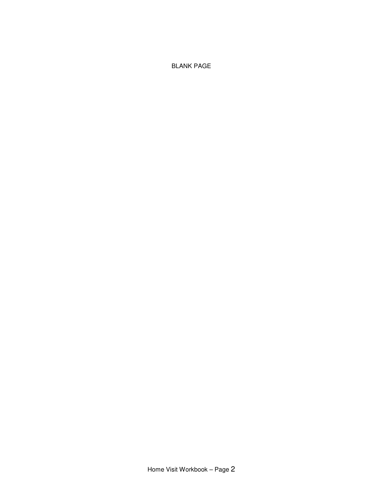BLANK PAGE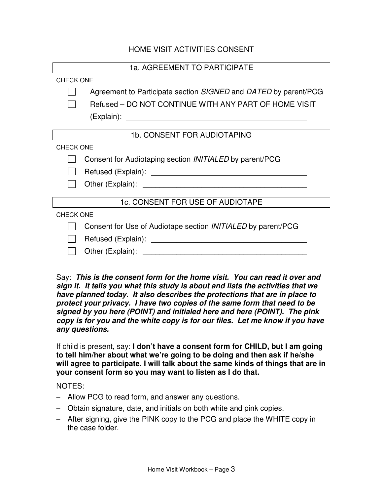#### HOME VISIT ACTIVITIES CONSENT

|                  | 1a. AGREEMENT TO PARTICIPATE                                        |  |  |
|------------------|---------------------------------------------------------------------|--|--|
| <b>CHECK ONE</b> |                                                                     |  |  |
|                  | Agreement to Participate section SIGNED and DATED by parent/PCG     |  |  |
|                  | Refused – DO NOT CONTINUE WITH ANY PART OF HOME VISIT               |  |  |
|                  |                                                                     |  |  |
|                  |                                                                     |  |  |
|                  | <b>1b. CONSENT FOR AUDIOTAPING</b>                                  |  |  |
| <b>CHECK ONE</b> |                                                                     |  |  |
|                  | Consent for Audiotaping section <i>INITIALED</i> by parent/PCG      |  |  |
|                  |                                                                     |  |  |
|                  |                                                                     |  |  |
|                  |                                                                     |  |  |
|                  | 1c. CONSENT FOR USE OF AUDIOTAPE                                    |  |  |
| <b>CHECK ONE</b> |                                                                     |  |  |
|                  | Consent for Use of Audiotape section <i>INITIALED</i> by parent/PCG |  |  |
|                  |                                                                     |  |  |
|                  | Other (Explain):                                                    |  |  |

Say: **This is the consent form for the home visit. You can read it over and sign it. It tells you what this study is about and lists the activities that we have planned today. It also describes the protections that are in place to protect your privacy. I have two copies of the same form that need to be signed by you here (POINT) and initialed here and here (POINT). The pink copy is for you and the white copy is for our files. Let me know if you have any questions.** 

If child is present, say: **I don't have a consent form for CHILD, but I am going to tell him/her about what we're going to be doing and then ask if he/she will agree to participate. I will talk about the same kinds of things that are in your consent form so you may want to listen as I do that.**

NOTES:

- − Allow PCG to read form, and answer any questions.
- − Obtain signature, date, and initials on both white and pink copies.
- − After signing, give the PINK copy to the PCG and place the WHITE copy in the case folder.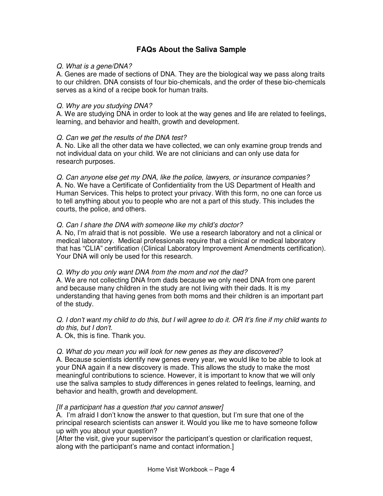#### **FAQs About the Saliva Sample**

#### Q. What is a gene/DNA?

A. Genes are made of sections of DNA. They are the biological way we pass along traits to our children. DNA consists of four bio-chemicals, and the order of these bio-chemicals serves as a kind of a recipe book for human traits.

#### Q. Why are you studying DNA?

A. We are studying DNA in order to look at the way genes and life are related to feelings, learning, and behavior and health, growth and development.

#### Q. Can we get the results of the DNA test?

A. No. Like all the other data we have collected, we can only examine group trends and not individual data on your child. We are not clinicians and can only use data for research purposes.

Q. Can anyone else get my DNA, like the police, lawyers, or insurance companies? A. No. We have a Certificate of Confidentiality from the US Department of Health and Human Services. This helps to protect your privacy. With this form, no one can force us to tell anything about you to people who are not a part of this study. This includes the courts, the police, and others.

#### Q. Can I share the DNA with someone like my child's doctor?

A. No, I'm afraid that is not possible. We use a research laboratory and not a clinical or medical laboratory. Medical professionals require that a clinical or medical laboratory that has "CLIA" certification (Clinical Laboratory Improvement Amendments certification). Your DNA will only be used for this research.

#### Q. Why do you only want DNA from the mom and not the dad?

A. We are not collecting DNA from dads because we only need DNA from one parent and because many children in the study are not living with their dads. It is my understanding that having genes from both moms and their children is an important part of the study.

Q. I don't want my child to do this, but I will agree to do it. OR It's fine if my child wants to do this, but I don't.

A. Ok, this is fine. Thank you.

#### Q. What do you mean you will look for new genes as they are discovered?

A. Because scientists identify new genes every year, we would like to be able to look at your DNA again if a new discovery is made. This allows the study to make the most meaningful contributions to science. However, it is important to know that we will only use the saliva samples to study differences in genes related to feelings, learning, and behavior and health, growth and development.

#### [If a participant has a question that you cannot answer]

A. I'm afraid I don't know the answer to that question, but I'm sure that one of the principal research scientists can answer it. Would you like me to have someone follow up with you about your question?

[After the visit, give your supervisor the participant's question or clarification request, along with the participant's name and contact information.]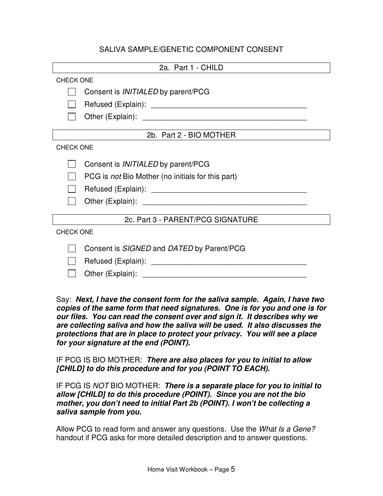#### SALIVA SAMPLE/GENETIC COMPONENT CONSENT

| 2a. Part 1 - CHILD                                       |  |
|----------------------------------------------------------|--|
| <b>CHECK ONE</b>                                         |  |
| Consent is <i>INITIALED</i> by parent/PCG                |  |
|                                                          |  |
|                                                          |  |
| 2b. Part 2 - BIO MOTHER                                  |  |
| <b>CHECK ONE</b>                                         |  |
| Consent is <i>INITIALED</i> by parent/PCG                |  |
| PCG is <i>not</i> Bio Mother (no initials for this part) |  |
|                                                          |  |
|                                                          |  |
| 2c. Part 3 - PARENT/PCG SIGNATURE                        |  |
| <b>CHECK ONE</b>                                         |  |
| Consent is SIGNED and DATED by Parent/PCG                |  |
|                                                          |  |
|                                                          |  |

Say: **Next, I have the consent form for the saliva sample. Again, I have two copies of the same form that need signatures. One is for you and one is for our files. You can read the consent over and sign it. It describes why we are collecting saliva and how the saliva will be used. It also discusses the protections that are in place to protect your privacy. You will see a place for your signature at the end (POINT).** 

IF PCG IS BIO MOTHER: **There are also places for you to initial to allow [CHILD] to do this procedure and for you (POINT TO EACH).** 

IF PCG IS NOT BIO MOTHER: **There is a separate place for you to initial to allow [CHILD] to do this procedure (POINT). Since you are not the bio mother, you don't need to initial Part 2b (POINT). I won't be collecting a saliva sample from you.** 

Allow PCG to read form and answer any questions. Use the What Is a Gene? handout if PCG asks for more detailed description and to answer questions.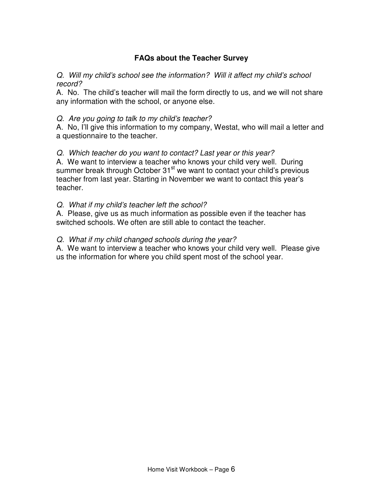### **FAQs about the Teacher Survey**

#### Q. Will my child's school see the information? Will it affect my child's school record?

A. No. The child's teacher will mail the form directly to us, and we will not share any information with the school, or anyone else.

#### Q. Are you going to talk to my child's teacher?

A. No, I'll give this information to my company, Westat, who will mail a letter and a questionnaire to the teacher.

#### Q. Which teacher do you want to contact? Last year or this year?

A. We want to interview a teacher who knows your child very well. During summer break through October  $31<sup>st</sup>$  we want to contact your child's previous teacher from last year. Starting in November we want to contact this year's teacher.

#### Q. What if my child's teacher left the school?

A. Please, give us as much information as possible even if the teacher has switched schools. We often are still able to contact the teacher.

#### Q. What if my child changed schools during the year?

A. We want to interview a teacher who knows your child very well. Please give us the information for where you child spent most of the school year.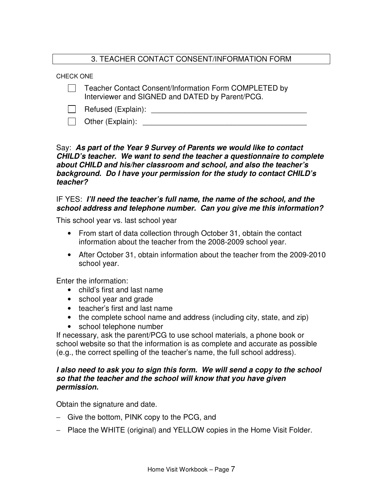#### 3. TEACHER CONTACT CONSENT/INFORMATION FORM

#### CHECK ONE

- Teacher Contact Consent/Information Form COMPLETED by Interviewer and SIGNED and DATED by Parent/PCG.
- Refused (Explain): **Explain**  $\overline{a}$  and  $\overline{b}$  and  $\overline{c}$  and  $\overline{d}$  and  $\overline{b}$  and  $\overline{c}$  and  $\overline{d}$  and  $\overline{d}$  and  $\overline{d}$  and  $\overline{d}$  and  $\overline{d}$  and  $\overline{d}$  and  $\overline{d}$  and  $\overline{d}$  and  $\overline{d}$  an
- □ Other (Explain): <u>\_\_\_\_\_\_\_\_\_\_\_\_\_\_\_\_\_\_\_\_\_\_\_\_\_\_\_\_\_\_\_\_</u>

#### Say: **As part of the Year 9 Survey of Parents we would like to contact CHILD's teacher. We want to send the teacher a questionnaire to complete about CHILD and his/her classroom and school, and also the teacher's background. Do I have your permission for the study to contact CHILD's teacher?**

#### IF YES: **I'll need the teacher's full name, the name of the school, and the school address and telephone number. Can you give me this information?**

This school year vs. last school year

- From start of data collection through October 31, obtain the contact information about the teacher from the 2008-2009 school year.
- After October 31, obtain information about the teacher from the 2009-2010 school year.

Enter the information:

- child's first and last name
- school year and grade
- teacher's first and last name
- the complete school name and address (including city, state, and zip)
- school telephone number

If necessary, ask the parent/PCG to use school materials, a phone book or school website so that the information is as complete and accurate as possible (e.g., the correct spelling of the teacher's name, the full school address).

#### **I also need to ask you to sign this form. We will send a copy to the school so that the teacher and the school will know that you have given permission.**

Obtain the signature and date.

- − Give the bottom, PINK copy to the PCG, and
- − Place the WHITE (original) and YELLOW copies in the Home Visit Folder.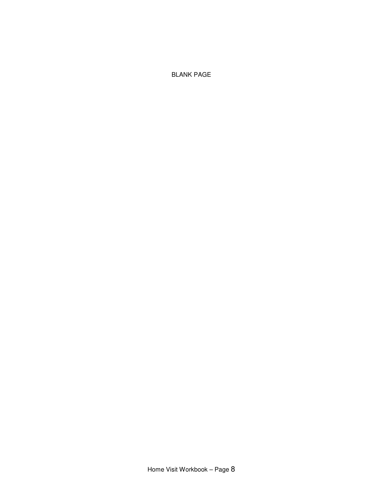BLANK PAGE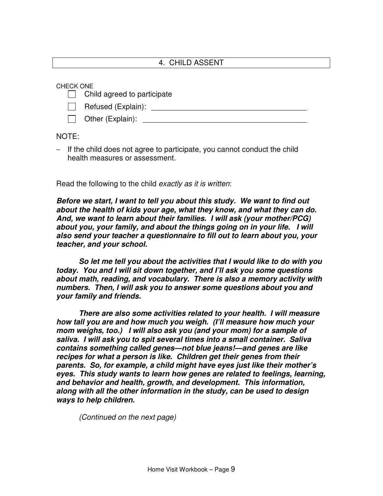#### 4. CHILD ASSENT

#### CHECK ONE

| $\mathcal{L}_{\mathcal{A}}$ | Child agreed to participate |  |
|-----------------------------|-----------------------------|--|
|                             |                             |  |

- Refused (Explain): \_\_\_\_\_\_\_\_\_\_\_\_\_\_\_\_\_\_\_\_\_\_\_\_\_\_\_\_\_\_\_\_\_\_\_\_\_
- $\Box$  Other (Explain):

#### NOTE:

− If the child does not agree to participate, you cannot conduct the child health measures or assessment.

Read the following to the child exactly as it is written:

**Before we start, I want to tell you about this study. We want to find out about the health of kids your age, what they know, and what they can do. And, we want to learn about their families. I will ask (your mother/PCG) about you, your family, and about the things going on in your life. I will also send your teacher a questionnaire to fill out to learn about you, your teacher, and your school.** 

**So let me tell you about the activities that I would like to do with you today. You and I will sit down together, and I'll ask you some questions about math, reading, and vocabulary. There is also a memory activity with numbers. Then, I will ask you to answer some questions about you and your family and friends.** 

**There are also some activities related to your health. I will measure how tall you are and how much you weigh. (I'll measure how much your mom weighs, too.) I will also ask you (and your mom) for a sample of saliva. I will ask you to spit several times into a small container. Saliva contains something called genes—not blue jeans!—and genes are like recipes for what a person is like. Children get their genes from their parents. So, for example, a child might have eyes just like their mother's eyes. This study wants to learn how genes are related to feelings, learning, and behavior and health, growth, and development. This information, along with all the other information in the study, can be used to design ways to help children.** 

(Continued on the next page)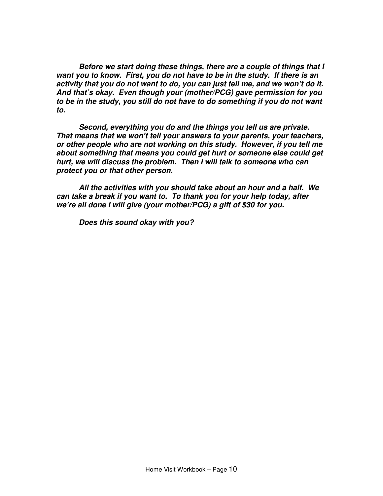**Before we start doing these things, there are a couple of things that I want you to know. First, you do not have to be in the study. If there is an activity that you do not want to do, you can just tell me, and we won't do it. And that's okay. Even though your (mother/PCG) gave permission for you to be in the study, you still do not have to do something if you do not want to.** 

**Second, everything you do and the things you tell us are private. That means that we won't tell your answers to your parents, your teachers, or other people who are not working on this study. However, if you tell me about something that means you could get hurt or someone else could get hurt, we will discuss the problem. Then I will talk to someone who can protect you or that other person.** 

**All the activities with you should take about an hour and a half. We can take a break if you want to. To thank you for your help today, after we're all done I will give (your mother/PCG) a gift of \$30 for you.** 

**Does this sound okay with you?**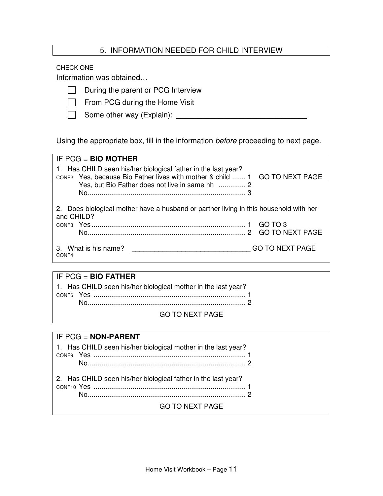CHECK ONE

Information was obtained…

 $\Box$  During the parent or PCG Interview

From PCG during the Home Visit

Some other way (Explain): \_\_\_\_\_\_\_\_\_\_\_\_\_\_\_\_\_\_\_\_\_\_\_\_\_\_\_\_\_\_\_

Using the appropriate box, fill in the information before proceeding to next page.

| IF $PCG = BIO$ MOTHER                                                                                                                                                                          |  |
|------------------------------------------------------------------------------------------------------------------------------------------------------------------------------------------------|--|
| 1. Has CHILD seen his/her biological father in the last year?<br>CONF2 Yes, because Bio Father lives with mother & child  1 GO TO NEXT PAGE<br>Yes, but Bio Father does not live in same hh  2 |  |
| 2. Does biological mother have a husband or partner living in this household with her<br>and CHILD?                                                                                            |  |
| GO TO 3<br><b>GO TO NEXT PAGE</b>                                                                                                                                                              |  |
| 3. What is his name?<br><b>GO TO NEXT PAGE</b><br>CONF4                                                                                                                                        |  |

### IF PCG = **BIO FATHER**

| 1. Has CHILD seen his/her biological mother in the last year? |  |
|---------------------------------------------------------------|--|
|                                                               |  |
|                                                               |  |
|                                                               |  |

#### GO TO NEXT PAGE

### IF PCG = **NON-PARENT**

| 1. Has CHILD seen his/her biological mother in the last year?          |
|------------------------------------------------------------------------|
| 2. Has CHILD seen his/her biological father in the last year?<br>No. 2 |
| <b>GO TO NEXT PAGE</b>                                                 |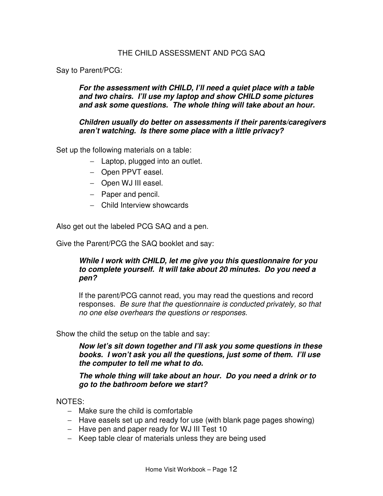### THE CHILD ASSESSMENT AND PCG SAQ

Say to Parent/PCG:

**For the assessment with CHILD, I'll need a quiet place with a table and two chairs. I'll use my laptop and show CHILD some pictures and ask some questions. The whole thing will take about an hour.** 

**Children usually do better on assessments if their parents/caregivers aren't watching. Is there some place with a little privacy?** 

Set up the following materials on a table:

- − Laptop, plugged into an outlet.
- − Open PPVT easel.
- − Open WJ III easel.
- − Paper and pencil.
- − Child Interview showcards

Also get out the labeled PCG SAQ and a pen.

Give the Parent/PCG the SAQ booklet and say:

#### **While I work with CHILD, let me give you this questionnaire for you to complete yourself. It will take about 20 minutes. Do you need a pen?**

If the parent/PCG cannot read, you may read the questions and record responses. Be sure that the questionnaire is conducted privately, so that no one else overhears the questions or responses.

Show the child the setup on the table and say:

**Now let's sit down together and I'll ask you some questions in these books. I won't ask you all the questions, just some of them. I'll use the computer to tell me what to do.** 

**The whole thing will take about an hour. Do you need a drink or to go to the bathroom before we start?** 

#### NOTES:

- − Make sure the child is comfortable
- − Have easels set up and ready for use (with blank page pages showing)
- − Have pen and paper ready for WJ III Test 10
- − Keep table clear of materials unless they are being used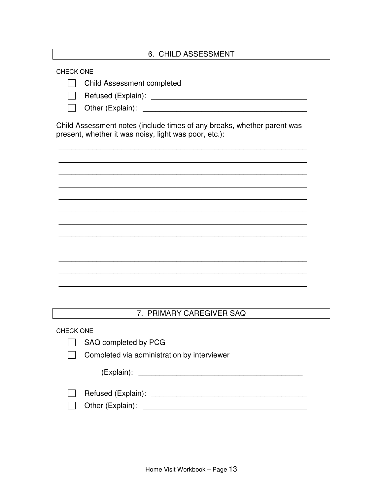**CHECK ONE** 

- Child Assessment completed
- 
- $\perp$

Child Assessment notes (include times of any breaks, whether parent was present, whether it was noisy, light was poor, etc.):

### 7. PRIMARY CAREGIVER SAQ

CHECK ONE

SAQ completed by PCG

| $\Box$ Completed via administration by interviewer |
|----------------------------------------------------|
|----------------------------------------------------|

| (Explain): |  |
|------------|--|
|            |  |



 $\Box$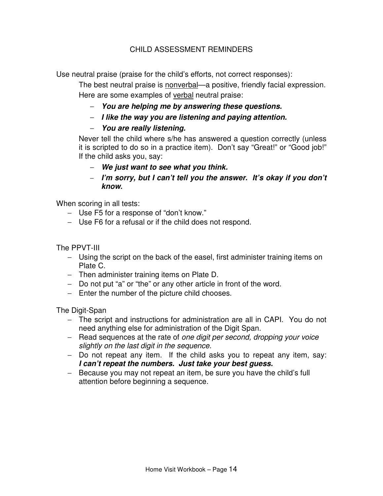### CHILD ASSESSMENT REMINDERS

Use neutral praise (praise for the child's efforts, not correct responses):

The best neutral praise is nonverbal—a positive, friendly facial expression. Here are some examples of verbal neutral praise:

- − **You are helping me by answering these questions.**
- − **I like the way you are listening and paying attention.**
- − **You are really listening.**

Never tell the child where s/he has answered a question correctly (unless it is scripted to do so in a practice item). Don't say "Great!" or "Good job!" If the child asks you, say:

- − **We just want to see what you think.**
- − **I'm sorry, but I can't tell you the answer. It's okay if you don't know.**

When scoring in all tests:

- − Use F5 for a response of "don't know."
- − Use F6 for a refusal or if the child does not respond.

The PPVT-III

- − Using the script on the back of the easel, first administer training items on Plate C.
- − Then administer training items on Plate D.
- − Do not put "a" or "the" or any other article in front of the word.
- − Enter the number of the picture child chooses.

The Digit-Span

- − The script and instructions for administration are all in CAPI. You do not need anything else for administration of the Digit Span.
- − Read sequences at the rate of one digit per second, dropping your voice slightly on the last digit in the sequence.
- − Do not repeat any item. If the child asks you to repeat any item, say: **I can't repeat the numbers. Just take your best guess.**
- − Because you may not repeat an item, be sure you have the child's full attention before beginning a sequence.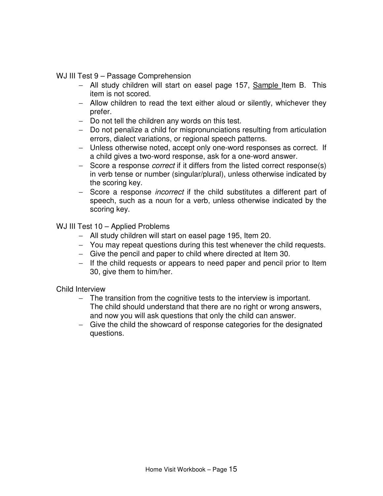WJ III Test 9 – Passage Comprehension

- − All study children will start on easel page 157, Sample Item B. This item is not scored.
- − Allow children to read the text either aloud or silently, whichever they prefer.
- − Do not tell the children any words on this test.
- − Do not penalize a child for mispronunciations resulting from articulation errors, dialect variations, or regional speech patterns.
- − Unless otherwise noted, accept only one-word responses as correct. If a child gives a two-word response, ask for a one-word answer.
- − Score a response *correct* if it differs from the listed correct response(s) in verb tense or number (singular/plural), unless otherwise indicated by the scoring key.
- − Score a response incorrect if the child substitutes a different part of speech, such as a noun for a verb, unless otherwise indicated by the scoring key.

WJ III Test 10 – Applied Problems

- − All study children will start on easel page 195, Item 20.
- − You may repeat questions during this test whenever the child requests.
- − Give the pencil and paper to child where directed at Item 30.
- − If the child requests or appears to need paper and pencil prior to Item 30, give them to him/her.

Child Interview

- − The transition from the cognitive tests to the interview is important. The child should understand that there are no right or wrong answers, and now you will ask questions that only the child can answer.
- − Give the child the showcard of response categories for the designated questions.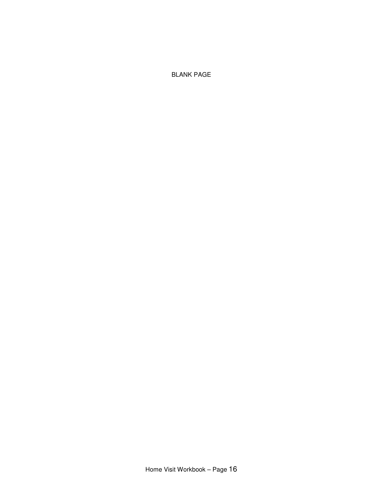BLANK PAGE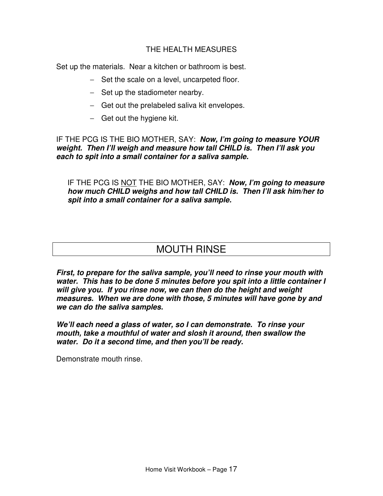#### THE HEALTH MEASURES

Set up the materials. Near a kitchen or bathroom is best.

- − Set the scale on a level, uncarpeted floor.
- − Set up the stadiometer nearby.
- − Get out the prelabeled saliva kit envelopes.
- − Get out the hygiene kit.

IF THE PCG IS THE BIO MOTHER, SAY: **Now, I'm going to measure YOUR weight. Then I'll weigh and measure how tall CHILD is. Then I'll ask you each to spit into a small container for a saliva sample.** 

IF THE PCG IS NOT THE BIO MOTHER, SAY: **Now, I'm going to measure how much CHILD weighs and how tall CHILD is. Then I'll ask him/her to spit into a small container for a saliva sample.**

# MOUTH RINSE

**First, to prepare for the saliva sample, you'll need to rinse your mouth with water. This has to be done 5 minutes before you spit into a little container I will give you. If you rinse now, we can then do the height and weight measures. When we are done with those, 5 minutes will have gone by and we can do the saliva samples.** 

**We'll each need a glass of water, so I can demonstrate. To rinse your mouth, take a mouthful of water and slosh it around, then swallow the water. Do it a second time, and then you'll be ready.** 

Demonstrate mouth rinse.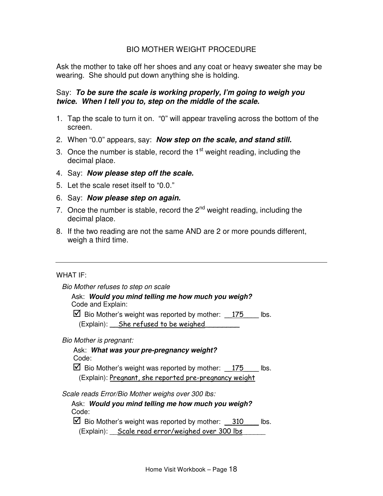#### BIO MOTHER WEIGHT PROCEDURE

Ask the mother to take off her shoes and any coat or heavy sweater she may be wearing. She should put down anything she is holding.

#### Say: **To be sure the scale is working properly, I'm going to weigh you twice. When I tell you to, step on the middle of the scale.**

- 1. Tap the scale to turn it on. "0" will appear traveling across the bottom of the screen.
- 2. When "0.0" appears, say: **Now step on the scale, and stand still.**
- 3. Once the number is stable, record the  $1<sup>st</sup>$  weight reading, including the decimal place.
- 4. Say: **Now please step off the scale.**
- 5. Let the scale reset itself to "0.0."
- 6. Say: **Now please step on again.**
- 7. Once the number is stable, record the  $2<sup>nd</sup>$  weight reading, including the decimal place.
- 8. If the two reading are not the same AND are 2 or more pounds different, weigh a third time.

#### WHAT IF:

Bio Mother refuses to step on scale

 Ask: **Would you mind telling me how much you weigh?**  Code and Explain:

Bio Mother's weight was reported by mother:  $175$  lbs. (Explain): She refused to be weighed

Bio Mother is pregnant:

Ask: **What was your pre-pregnancy weight?**

Code:

 $\boxtimes$  Bio Mother's weight was reported by mother:  $\boxed{175}$  lbs. (Explain): Pregnant, she reported pre-pregnancy weight

Scale reads Error/Bio Mother weighs over 300 lbs:

 Ask: **Would you mind telling me how much you weigh?**  Code:

 $\boxtimes$  Bio Mother's weight was reported by mother: 310 lbs. (Explain): Scale read error/weighed over 300 lbs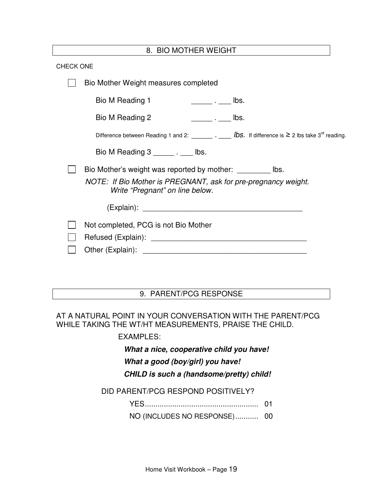| 8. BIO MOTHER WEIGHT |                                                                                                                                                                  |  |
|----------------------|------------------------------------------------------------------------------------------------------------------------------------------------------------------|--|
| <b>CHECK ONE</b>     |                                                                                                                                                                  |  |
|                      | Bio Mother Weight measures completed                                                                                                                             |  |
|                      | Bio M Reading 1<br>$\frac{1}{2}$ . $\frac{1}{2}$ lbs.                                                                                                            |  |
|                      | Bio M Reading 2<br>$\frac{1}{2}$ . $\frac{1}{2}$ lbs.                                                                                                            |  |
|                      | Difference between Reading 1 and 2: $\frac{1}{2}$ . $\frac{1}{2}$ lbs. If difference is $\geq$ 2 lbs take 3 <sup>rd</sup> reading.                               |  |
|                      | Bio M Reading 3 _______. ____ lbs.                                                                                                                               |  |
|                      | Bio Mother's weight was reported by mother: __________ lbs.<br>NOTE: If Bio Mother is PREGNANT, ask for pre-pregnancy weight.<br>Write "Pregnant" on line below. |  |
|                      | Not completed, PCG is not Bio Mother                                                                                                                             |  |

### 9. PARENT/PCG RESPONSE

AT A NATURAL POINT IN YOUR CONVERSATION WITH THE PARENT/PCG WHILE TAKING THE WT/HT MEASUREMENTS, PRAISE THE CHILD.

### EXAMPLES:

**What a nice, cooperative child you have! What a good (boy/girl) you have! CHILD is such a (handsome/pretty) child!** 

### DID PARENT/PCG RESPOND POSITIVELY?

YES ...................................................... 01

NO (INCLUDES NO RESPONSE) ........... 00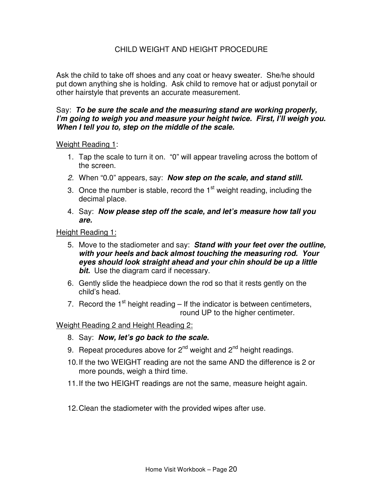### CHILD WEIGHT AND HEIGHT PROCEDURE

Ask the child to take off shoes and any coat or heavy sweater. She/he should put down anything she is holding. Ask child to remove hat or adjust ponytail or other hairstyle that prevents an accurate measurement.

#### Say: **To be sure the scale and the measuring stand are working properly, I'm going to weigh you and measure your height twice. First, I'll weigh you. When I tell you to, step on the middle of the scale.**

Weight Reading 1:

- 1. Tap the scale to turn it on. "0" will appear traveling across the bottom of the screen.
- 2. When "0.0" appears, say: **Now step on the scale, and stand still.**
- 3. Once the number is stable, record the  $1<sup>st</sup>$  weight reading, including the decimal place.
- 4. Say: **Now please step off the scale, and let's measure how tall you are.**

Height Reading 1:

- 5. Move to the stadiometer and say: **Stand with your feet over the outline, with your heels and back almost touching the measuring rod. Your eyes should look straight ahead and your chin should be up a little**  *bit.* Use the diagram card if necessary.
- 6. Gently slide the headpiece down the rod so that it rests gently on the child's head.
- 7. Record the  $1<sup>st</sup>$  height reading If the indicator is between centimeters, round UP to the higher centimeter.

Weight Reading 2 and Height Reading 2:

- 8. Say: **Now, let's go back to the scale.**
- 9. Repeat procedures above for  $2^{nd}$  weight and  $2^{nd}$  height readings.
- 10. If the two WEIGHT reading are not the same AND the difference is 2 or more pounds, weigh a third time.
- 11. If the two HEIGHT readings are not the same, measure height again.
- 12. Clean the stadiometer with the provided wipes after use.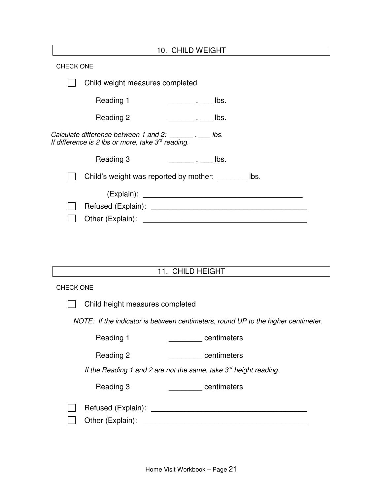|                                                                                                                      |                                 | 10. CHILD WEIGHT                                                                                                                                                                                                                                                                                                                                                                                                                              |  |
|----------------------------------------------------------------------------------------------------------------------|---------------------------------|-----------------------------------------------------------------------------------------------------------------------------------------------------------------------------------------------------------------------------------------------------------------------------------------------------------------------------------------------------------------------------------------------------------------------------------------------|--|
| <b>CHECK ONE</b>                                                                                                     |                                 |                                                                                                                                                                                                                                                                                                                                                                                                                                               |  |
|                                                                                                                      | Child weight measures completed |                                                                                                                                                                                                                                                                                                                                                                                                                                               |  |
|                                                                                                                      | Reading 1                       | $\frac{1}{1}$ . $\frac{1}{1}$ lbs.                                                                                                                                                                                                                                                                                                                                                                                                            |  |
|                                                                                                                      | Reading 2                       | $\frac{1}{\sqrt{1-\frac{1}{2}}}\cdot\frac{1}{\sqrt{1-\frac{1}{2}}}\cdot\frac{1}{\sqrt{1-\frac{1}{2}}}\cdot\frac{1}{\sqrt{1-\frac{1}{2}}}\cdot\frac{1}{\sqrt{1-\frac{1}{2}}}\cdot\frac{1}{\sqrt{1-\frac{1}{2}}}\cdot\frac{1}{\sqrt{1-\frac{1}{2}}}\cdot\frac{1}{\sqrt{1-\frac{1}{2}}}\cdot\frac{1}{\sqrt{1-\frac{1}{2}}}\cdot\frac{1}{\sqrt{1-\frac{1}{2}}}\cdot\frac{1}{\sqrt{1-\frac{1}{2}}}\cdot\frac{1}{\sqrt{1-\frac{1}{2}}}\cdot\frac{1$ |  |
| Calculate difference between 1 and 2: ________ . ____ lbs.<br>If difference is 2 lbs or more, take $3^{rd}$ reading. |                                 |                                                                                                                                                                                                                                                                                                                                                                                                                                               |  |
|                                                                                                                      | Reading 3                       | $\frac{1}{1}$ . $\frac{1}{1}$ lbs.                                                                                                                                                                                                                                                                                                                                                                                                            |  |
|                                                                                                                      |                                 | Child's weight was reported by mother: ________ lbs.                                                                                                                                                                                                                                                                                                                                                                                          |  |
|                                                                                                                      |                                 |                                                                                                                                                                                                                                                                                                                                                                                                                                               |  |
|                                                                                                                      |                                 |                                                                                                                                                                                                                                                                                                                                                                                                                                               |  |
|                                                                                                                      |                                 |                                                                                                                                                                                                                                                                                                                                                                                                                                               |  |
|                                                                                                                      |                                 |                                                                                                                                                                                                                                                                                                                                                                                                                                               |  |
|                                                                                                                      |                                 |                                                                                                                                                                                                                                                                                                                                                                                                                                               |  |
|                                                                                                                      |                                 |                                                                                                                                                                                                                                                                                                                                                                                                                                               |  |
|                                                                                                                      |                                 | 11. CHILD HEIGHT                                                                                                                                                                                                                                                                                                                                                                                                                              |  |
|                                                                                                                      |                                 |                                                                                                                                                                                                                                                                                                                                                                                                                                               |  |
| <b>CHECK ONE</b>                                                                                                     |                                 |                                                                                                                                                                                                                                                                                                                                                                                                                                               |  |
|                                                                                                                      | Child height measures completed |                                                                                                                                                                                                                                                                                                                                                                                                                                               |  |
| NOTE: If the indicator is between centimeters, round UP to the higher centimeter.                                    |                                 |                                                                                                                                                                                                                                                                                                                                                                                                                                               |  |
|                                                                                                                      | Reading 1                       | centimeters                                                                                                                                                                                                                                                                                                                                                                                                                                   |  |
|                                                                                                                      | Reading 2                       | centimeters                                                                                                                                                                                                                                                                                                                                                                                                                                   |  |
|                                                                                                                      |                                 | If the Reading 1 and 2 are not the same, take $3^{rd}$ height reading.                                                                                                                                                                                                                                                                                                                                                                        |  |
|                                                                                                                      | Reading 3                       | centimeters                                                                                                                                                                                                                                                                                                                                                                                                                                   |  |
|                                                                                                                      | Refused (Explain):              |                                                                                                                                                                                                                                                                                                                                                                                                                                               |  |

Other (Explain): \_\_\_\_\_\_\_\_\_\_\_\_\_\_\_\_\_\_\_\_\_\_\_\_\_\_\_\_\_\_\_\_\_\_\_\_\_\_\_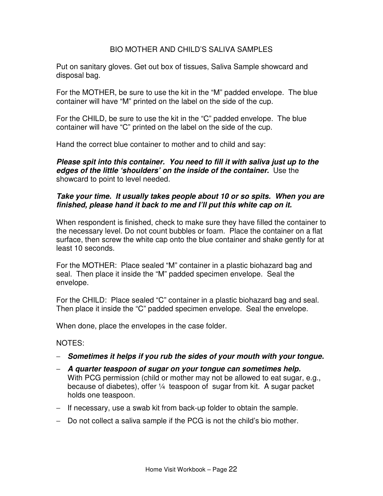#### BIO MOTHER AND CHILD'S SALIVA SAMPLES

Put on sanitary gloves. Get out box of tissues, Saliva Sample showcard and disposal bag.

For the MOTHER, be sure to use the kit in the "M" padded envelope. The blue container will have "M" printed on the label on the side of the cup.

For the CHILD, be sure to use the kit in the "C" padded envelope. The blue container will have "C" printed on the label on the side of the cup.

Hand the correct blue container to mother and to child and say:

**Please spit into this container. You need to fill it with saliva just up to the edges of the little 'shoulders' on the inside of the container.** Use the showcard to point to level needed.

#### **Take your time. It usually takes people about 10 or so spits. When you are finished, please hand it back to me and I'll put this white cap on it.**

When respondent is finished, check to make sure they have filled the container to the necessary level. Do not count bubbles or foam. Place the container on a flat surface, then screw the white cap onto the blue container and shake gently for at least 10 seconds.

For the MOTHER: Place sealed "M" container in a plastic biohazard bag and seal. Then place it inside the "M" padded specimen envelope. Seal the envelope.

For the CHILD: Place sealed "C" container in a plastic biohazard bag and seal. Then place it inside the "C" padded specimen envelope. Seal the envelope.

When done, place the envelopes in the case folder.

NOTES:

- − **Sometimes it helps if you rub the sides of your mouth with your tongue.**
- − **A quarter teaspoon of sugar on your tongue can sometimes help.**  With PCG permission (child or mother may not be allowed to eat sugar, e.g., because of diabetes), offer ¼ teaspoon of sugar from kit. A sugar packet holds one teaspoon.
- − If necessary, use a swab kit from back-up folder to obtain the sample.
- − Do not collect a saliva sample if the PCG is not the child's bio mother.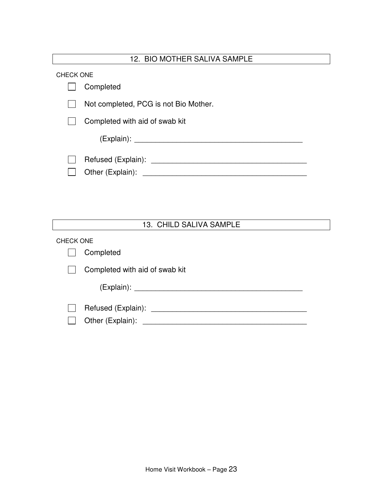|                  | 12. BIO MOTHER SALIVA SAMPLE          |
|------------------|---------------------------------------|
| <b>CHECK ONE</b> |                                       |
|                  | Completed                             |
|                  | Not completed, PCG is not Bio Mother. |
|                  | Completed with aid of swab kit        |
|                  |                                       |
|                  |                                       |
|                  |                                       |
|                  |                                       |
|                  |                                       |
|                  |                                       |
|                  | 13. CHILD SALIVA SAMPLE               |
| <b>CHECK ONE</b> |                                       |
|                  | Completed                             |
|                  | Completed with aid of swab kit        |
|                  |                                       |
|                  |                                       |
|                  | Other (Explain):                      |
|                  |                                       |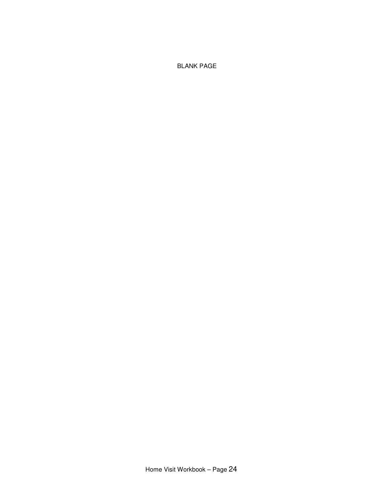BLANK PAGE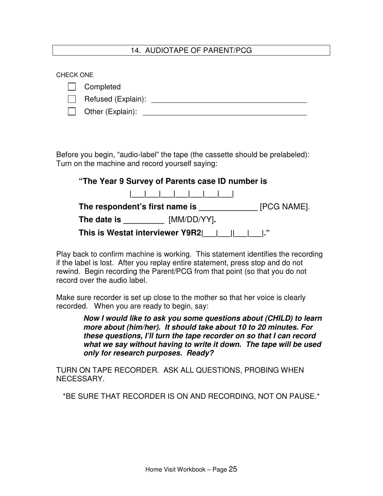| 14. AUDIOTAPE OF PARENT/PCG |
|-----------------------------|
|-----------------------------|

CHECK ONE

| Completed                 |  |
|---------------------------|--|
| $\Box$ Refused (Explain): |  |
| Other (Explain):          |  |

Before you begin, "audio-label" the tape (the cassette should be prelabeled): Turn on the machine and record yourself saying:

## **"The Year 9 Survey of Parents case ID number is**

| The respondent's first name is  |             | [PCG NAME]. |
|---------------------------------|-------------|-------------|
| The date is                     | [MM/DD/YY]. |             |
| This is Westat interviewer Y9R2 |             |             |

Play back to confirm machine is working. This statement identifies the recording if the label is lost. After you replay entire statement, press stop and do not rewind. Begin recording the Parent/PCG from that point (so that you do not record over the audio label.

Make sure recorder is set up close to the mother so that her voice is clearly recorded. When you are ready to begin, say:

> **Now I would like to ask you some questions about (CHILD) to learn more about (him/her). It should take about 10 to 20 minutes. For these questions, I'll turn the tape recorder on so that I can record what we say without having to write it down. The tape will be used only for research purposes. Ready?**

TURN ON TAPE RECORDER. ASK ALL QUESTIONS, PROBING WHEN NECESSARY.

\*BE SURE THAT RECORDER IS ON AND RECORDING, NOT ON PAUSE.\*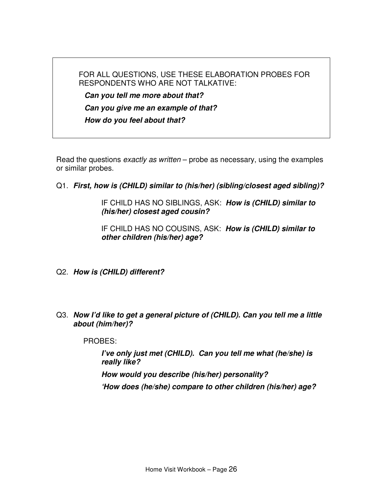### FOR ALL QUESTIONS, USE THESE ELABORATION PROBES FOR RESPONDENTS WHO ARE NOT TALKATIVE:

 **Can you tell me more about that? Can you give me an example of that? How do you feel about that?** 

Read the questions *exactly as written* – probe as necessary, using the examples or similar probes.

Q1. **First, how is (CHILD) similar to (his/her) (sibling/closest aged sibling)?** 

 IF CHILD HAS NO SIBLINGS, ASK: **How is (CHILD) similar to (his/her) closest aged cousin?** 

 IF CHILD HAS NO COUSINS, ASK: **How is (CHILD) similar to other children (his/her) age?** 

- Q2. **How is (CHILD) different?**
- Q3. **Now I'd like to get a general picture of (CHILD). Can you tell me a little about (him/her)?**

PROBES:

**I've only just met (CHILD). Can you tell me what (he/she) is really like?** 

**How would you describe (his/her) personality?** 

**'How does (he/she) compare to other children (his/her) age?**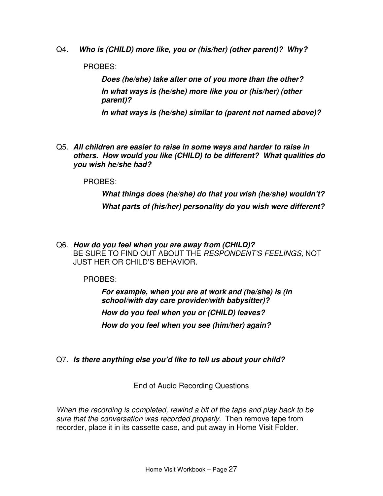Q4. **Who is (CHILD) more like, you or (his/her) (other parent)? Why?** 

PROBES:

**Does (he/she) take after one of you more than the other? In what ways is (he/she) more like you or (his/her) (other parent)?** 

**In what ways is (he/she) similar to (parent not named above)?** 

Q5. **All children are easier to raise in some ways and harder to raise in others. How would you like (CHILD) to be different? What qualities do you wish he/she had?** 

#### PROBES:

**What things does (he/she) do that you wish (he/she) wouldn't? What parts of (his/her) personality do you wish were different?** 

Q6. **How do you feel when you are away from (CHILD)?** BE SURE TO FIND OUT ABOUT THE RESPONDENT'S FEELINGS, NOT JUST HER OR CHILD'S BEHAVIOR.

#### PROBES:

**For example, when you are at work and (he/she) is (in school/with day care provider/with babysitter)? How do you feel when you or (CHILD) leaves? How do you feel when you see (him/her) again?** 

Q7. **Is there anything else you'd like to tell us about your child?**

End of Audio Recording Questions

When the recording is completed, rewind a bit of the tape and play back to be sure that the conversation was recorded properly. Then remove tape from recorder, place it in its cassette case, and put away in Home Visit Folder.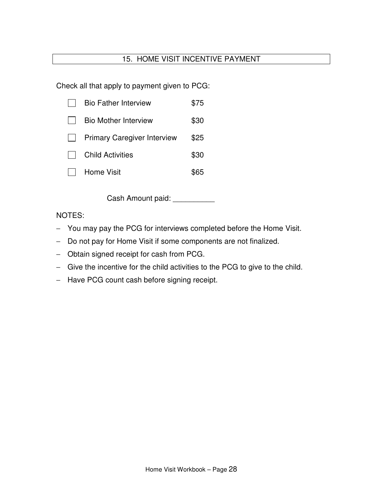### 15. HOME VISIT INCENTIVE PAYMENT

Check all that apply to payment given to PCG:



Cash Amount paid: \_\_\_\_\_\_\_\_\_\_\_

NOTES:

- − You may pay the PCG for interviews completed before the Home Visit.
- − Do not pay for Home Visit if some components are not finalized.
- − Obtain signed receipt for cash from PCG.
- − Give the incentive for the child activities to the PCG to give to the child.
- − Have PCG count cash before signing receipt.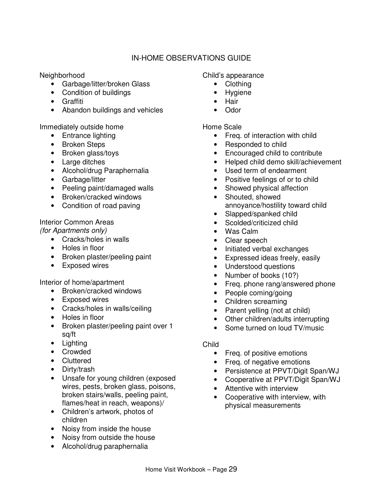### IN-HOME OBSERVATIONS GUIDE

Neighborhood

- Garbage/litter/broken Glass
- Condition of buildings
- Graffiti
- Abandon buildings and vehicles

### Immediately outside home

- Entrance lighting
- Broken Steps
- Broken glass/toys
- Large ditches
- Alcohol/drug Paraphernalia
- Garbage/litter
- Peeling paint/damaged walls
- Broken/cracked windows
- Condition of road paving

### Interior Common Areas

(for Apartments only)

- Cracks/holes in walls
- Holes in floor
- Broken plaster/peeling paint
- Exposed wires

Interior of home/apartment

- Broken/cracked windows
- Exposed wires
- Cracks/holes in walls/ceiling
- Holes in floor
- Broken plaster/peeling paint over 1 sq/ft
- Lighting
- Crowded
- Cluttered
- Dirty/trash
- Unsafe for young children (exposed wires, pests, broken glass, poisons, broken stairs/walls, peeling paint, flames/heat in reach, weapons)/
- Children's artwork, photos of children
- Noisy from inside the house
- Noisy from outside the house
- Alcohol/drug paraphernalia

### Child's appearance

- Clothing
- **Hygiene**
- Hair
- Odor

### Home Scale

- Freq. of interaction with child
- Responded to child
- Encouraged child to contribute
- Helped child demo skill/achievement
- Used term of endearment
- Positive feelings of or to child
- Showed physical affection
- Shouted, showed annoyance/hostility toward child
- Slapped/spanked child
- Scolded/criticized child
- Was Calm
- Clear speech
- Initiated verbal exchanges
- Expressed ideas freely, easily
- Understood questions
- Number of books (10?)
- Freq. phone rang/answered phone
- People coming/going
- Children screaming
- Parent yelling (not at child)
- Other children/adults interrupting
- Some turned on loud TV/music

#### Child

- Freq. of positive emotions
- Freq. of negative emotions
- Persistence at PPVT/Digit Span/WJ
- Cooperative at PPVT/Digit Span/WJ
- Attentive with interview
- Cooperative with interview, with physical measurements